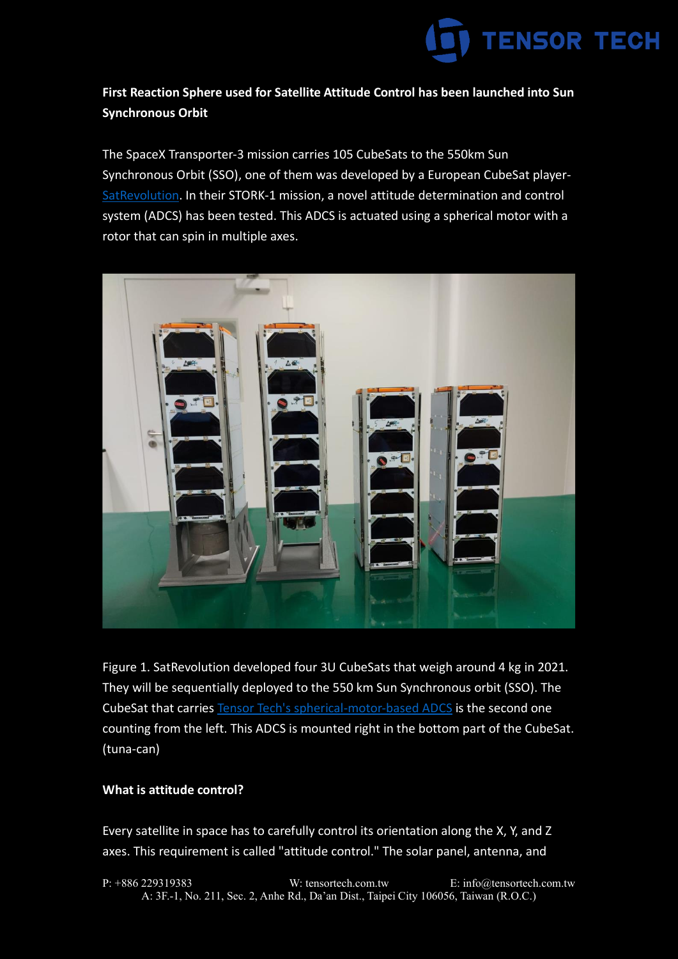

# **First Reaction Sphere used for Satellite Attitude Control has been launched into Sun Synchronous Orbit**

The SpaceX Transporter-3 mission carries 105 CubeSats to the 550km Sun Synchronous Orbit (SSO), one of them was developed by a European CubeSat player-[SatRevolution.](https://www.satrevolution.com/) In their STORK-1 mission, a novel attitude determination and control system (ADCS) has been tested. This ADCS is actuated using a spherical motor with a rotor that can spin in multiple axes.



Figure 1. SatRevolution developed four 3U CubeSats that weigh around 4 kg in 2021. They will be sequentially deployed to the 550 km Sun Synchronous orbit (SSO). The CubeSat that carries [Tensor Tech's spherical-motor-based ADCS](https://tensortech.com.tw/integrated-adcs/) is the second one counting from the left. This ADCS is mounted right in the bottom part of the CubeSat. (tuna-can)

## **What is attitude control?**

Every satellite in space has to carefully control its orientation along the X, Y, and Z axes. This requirement is called "attitude control." The solar panel, antenna, and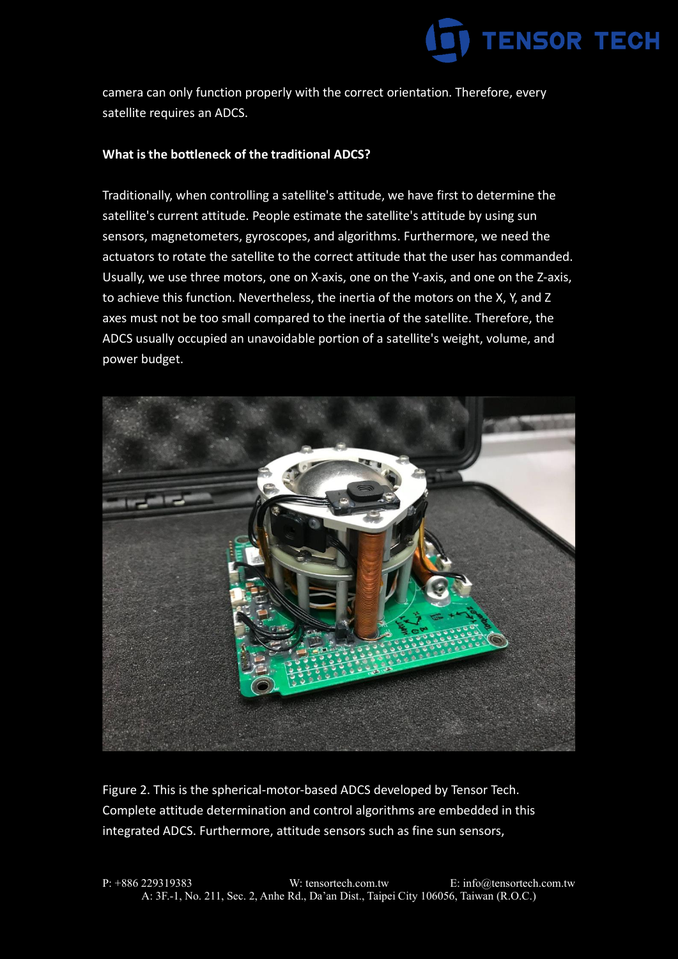

camera can only function properly with the correct orientation. Therefore, every satellite requires an ADCS.

## **What is the bottleneck of the traditional ADCS?**

Traditionally, when controlling a satellite's attitude, we have first to determine the satellite's current attitude. People estimate the satellite's attitude by using sun sensors, magnetometers, gyroscopes, and algorithms. Furthermore, we need the actuators to rotate the satellite to the correct attitude that the user has commanded. Usually, we use three motors, one on X-axis, one on the Y-axis, and one on the Z-axis, to achieve this function. Nevertheless, the inertia of the motors on the X, Y, and Z axes must not be too small compared to the inertia of the satellite. Therefore, the ADCS usually occupied an unavoidable portion of a satellite's weight, volume, and power budget.



Figure 2. This is the spherical-motor-based ADCS developed by Tensor Tech. Complete attitude determination and control algorithms are embedded in this integrated ADCS. Furthermore, attitude sensors such as fine sun sensors,